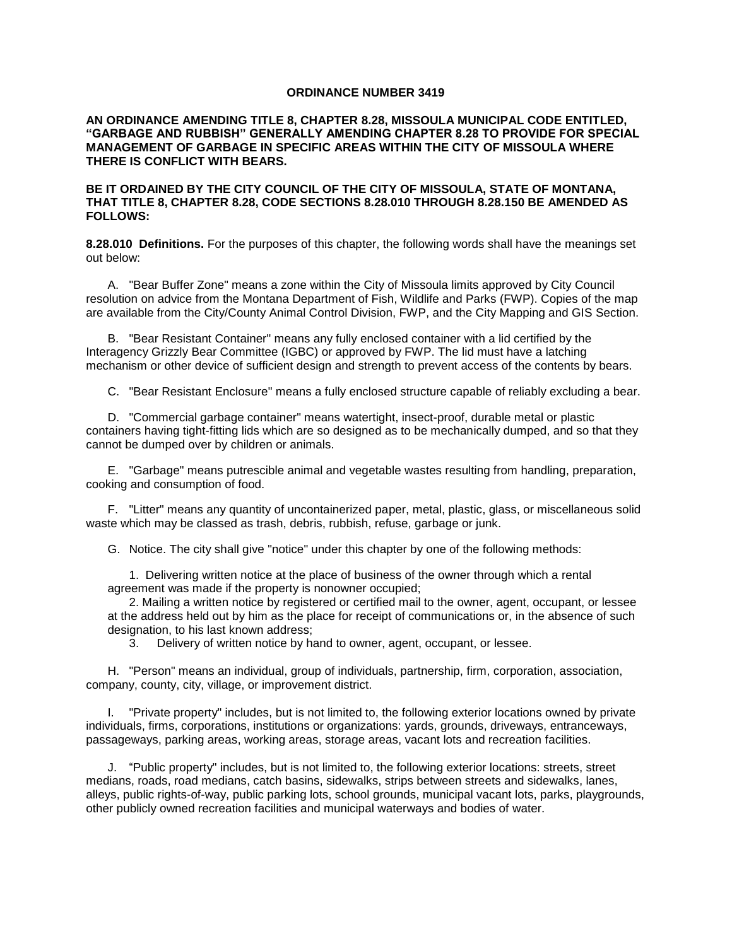## **ORDINANCE NUMBER 3419**

**AN ORDINANCE AMENDING TITLE 8, CHAPTER 8.28, MISSOULA MUNICIPAL CODE ENTITLED, "GARBAGE AND RUBBISH" GENERALLY AMENDING CHAPTER 8.28 TO PROVIDE FOR SPECIAL MANAGEMENT OF GARBAGE IN SPECIFIC AREAS WITHIN THE CITY OF MISSOULA WHERE THERE IS CONFLICT WITH BEARS.**

### **BE IT ORDAINED BY THE CITY COUNCIL OF THE CITY OF MISSOULA, STATE OF MONTANA, THAT TITLE 8, CHAPTER 8.28, CODE SECTIONS 8.28.010 THROUGH 8.28.150 BE AMENDED AS FOLLOWS:**

**8.28.010 Definitions.** For the purposes of this chapter, the following words shall have the meanings set out below:

A. "Bear Buffer Zone" means a zone within the City of Missoula limits approved by City Council resolution on advice from the Montana Department of Fish, Wildlife and Parks (FWP). Copies of the map are available from the City/County Animal Control Division, FWP, and the City Mapping and GIS Section.

B. "Bear Resistant Container" means any fully enclosed container with a lid certified by the Interagency Grizzly Bear Committee (IGBC) or approved by FWP. The lid must have a latching mechanism or other device of sufficient design and strength to prevent access of the contents by bears.

C. "Bear Resistant Enclosure" means a fully enclosed structure capable of reliably excluding a bear.

D. "Commercial garbage container" means watertight, insect-proof, durable metal or plastic containers having tight-fitting lids which are so designed as to be mechanically dumped, and so that they cannot be dumped over by children or animals.

E. "Garbage" means putrescible animal and vegetable wastes resulting from handling, preparation, cooking and consumption of food.

F. "Litter" means any quantity of uncontainerized paper, metal, plastic, glass, or miscellaneous solid waste which may be classed as trash, debris, rubbish, refuse, garbage or junk.

G. Notice. The city shall give "notice" under this chapter by one of the following methods:

1. Delivering written notice at the place of business of the owner through which a rental agreement was made if the property is nonowner occupied;

2. Mailing a written notice by registered or certified mail to the owner, agent, occupant, or lessee at the address held out by him as the place for receipt of communications or, in the absence of such designation, to his last known address;

3. Delivery of written notice by hand to owner, agent, occupant, or lessee.

H. "Person" means an individual, group of individuals, partnership, firm, corporation, association, company, county, city, village, or improvement district.

I. "Private property" includes, but is not limited to, the following exterior locations owned by private individuals, firms, corporations, institutions or organizations: yards, grounds, driveways, entranceways, passageways, parking areas, working areas, storage areas, vacant lots and recreation facilities.

J. "Public property" includes, but is not limited to, the following exterior locations: streets, street medians, roads, road medians, catch basins, sidewalks, strips between streets and sidewalks, lanes, alleys, public rights-of-way, public parking lots, school grounds, municipal vacant lots, parks, playgrounds, other publicly owned recreation facilities and municipal waterways and bodies of water.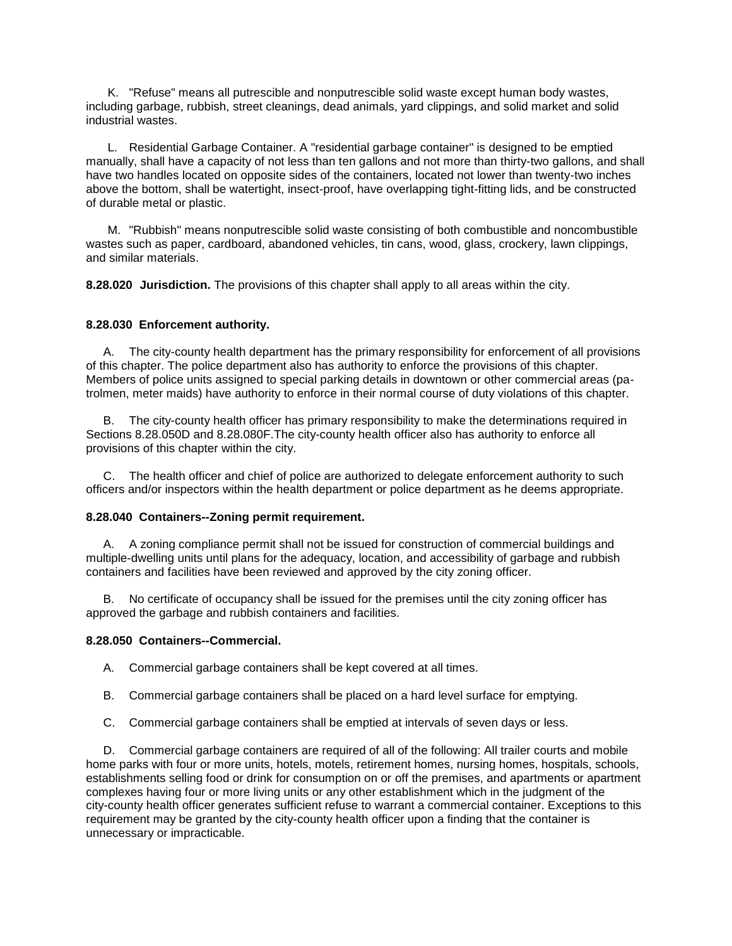K. "Refuse" means all putrescible and nonputrescible solid waste except human body wastes, including garbage, rubbish, street cleanings, dead animals, yard clippings, and solid market and solid industrial wastes.

L. Residential Garbage Container. A "residential garbage container" is designed to be emptied manually, shall have a capacity of not less than ten gallons and not more than thirty-two gallons, and shall have two handles located on opposite sides of the containers, located not lower than twenty-two inches above the bottom, shall be watertight, insect-proof, have overlapping tight-fitting lids, and be constructed of durable metal or plastic.

M. "Rubbish" means nonputrescible solid waste consisting of both combustible and noncombustible wastes such as paper, cardboard, abandoned vehicles, tin cans, wood, glass, crockery, lawn clippings, and similar materials.

**8.28.020 Jurisdiction.** The provisions of this chapter shall apply to all areas within the city.

# **8.28.030 Enforcement authority.**

A. The city-county health department has the primary responsibility for enforcement of all provisions of this chapter. The police department also has authority to enforce the provisions of this chapter. Members of police units assigned to special parking details in downtown or other commercial areas (patrolmen, meter maids) have authority to enforce in their normal course of duty violations of this chapter.

B. The city-county health officer has primary responsibility to make the determinations required in Sections 8.28.050D and 8.28.080F.The city-county health officer also has authority to enforce all provisions of this chapter within the city.

C. The health officer and chief of police are authorized to delegate enforcement authority to such officers and/or inspectors within the health department or police department as he deems appropriate.

## **8.28.040 Containers--Zoning permit requirement.**

A. A zoning compliance permit shall not be issued for construction of commercial buildings and multiple-dwelling units until plans for the adequacy, location, and accessibility of garbage and rubbish containers and facilities have been reviewed and approved by the city zoning officer.

B. No certificate of occupancy shall be issued for the premises until the city zoning officer has approved the garbage and rubbish containers and facilities.

## **8.28.050 Containers--Commercial.**

A. Commercial garbage containers shall be kept covered at all times.

- B. Commercial garbage containers shall be placed on a hard level surface for emptying.
- C. Commercial garbage containers shall be emptied at intervals of seven days or less.

D. Commercial garbage containers are required of all of the following: All trailer courts and mobile home parks with four or more units, hotels, motels, retirement homes, nursing homes, hospitals, schools, establishments selling food or drink for consumption on or off the premises, and apartments or apartment complexes having four or more living units or any other establishment which in the judgment of the city-county health officer generates sufficient refuse to warrant a commercial container. Exceptions to this requirement may be granted by the city-county health officer upon a finding that the container is unnecessary or impracticable.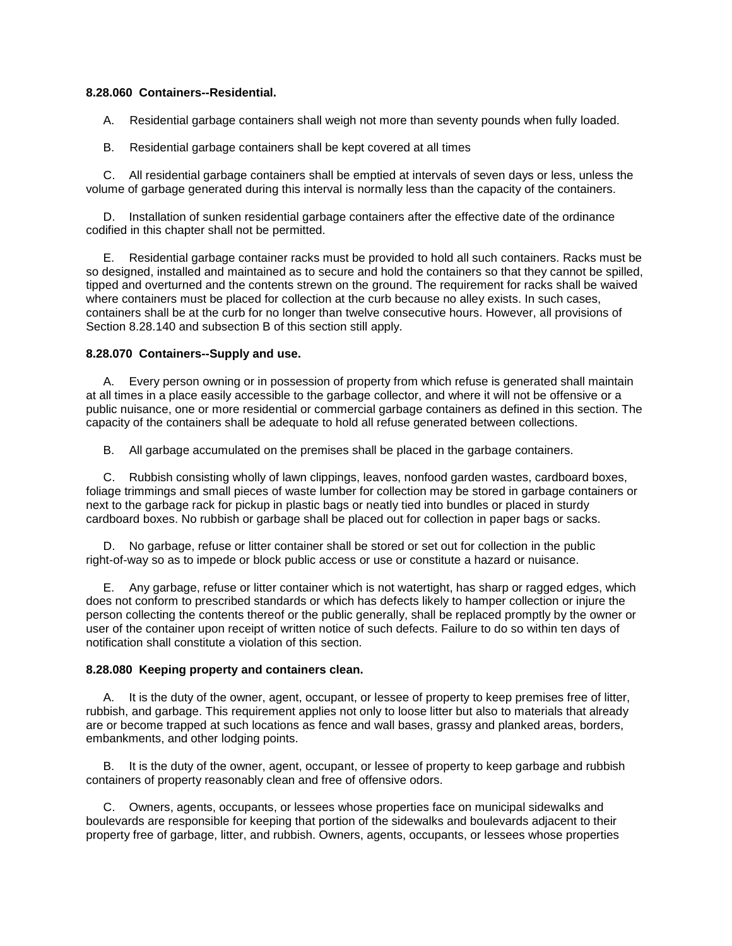## **8.28.060 Containers--Residential.**

A. Residential garbage containers shall weigh not more than seventy pounds when fully loaded.

B. Residential garbage containers shall be kept covered at all times

C. All residential garbage containers shall be emptied at intervals of seven days or less, unless the volume of garbage generated during this interval is normally less than the capacity of the containers.

D. Installation of sunken residential garbage containers after the effective date of the ordinance codified in this chapter shall not be permitted.

E. Residential garbage container racks must be provided to hold all such containers. Racks must be so designed, installed and maintained as to secure and hold the containers so that they cannot be spilled, tipped and overturned and the contents strewn on the ground. The requirement for racks shall be waived where containers must be placed for collection at the curb because no alley exists. In such cases, containers shall be at the curb for no longer than twelve consecutive hours. However, all provisions of Section 8.28.140 and subsection B of this section still apply.

## **8.28.070 Containers--Supply and use.**

A. Every person owning or in possession of property from which refuse is generated shall maintain at all times in a place easily accessible to the garbage collector, and where it will not be offensive or a public nuisance, one or more residential or commercial garbage containers as defined in this section. The capacity of the containers shall be adequate to hold all refuse generated between collections.

B. All garbage accumulated on the premises shall be placed in the garbage containers.

C. Rubbish consisting wholly of lawn clippings, leaves, nonfood garden wastes, cardboard boxes, foliage trimmings and small pieces of waste lumber for collection may be stored in garbage containers or next to the garbage rack for pickup in plastic bags or neatly tied into bundles or placed in sturdy cardboard boxes. No rubbish or garbage shall be placed out for collection in paper bags or sacks.

D. No garbage, refuse or litter container shall be stored or set out for collection in the public right-of-way so as to impede or block public access or use or constitute a hazard or nuisance.

E. Any garbage, refuse or litter container which is not watertight, has sharp or ragged edges, which does not conform to prescribed standards or which has defects likely to hamper collection or injure the person collecting the contents thereof or the public generally, shall be replaced promptly by the owner or user of the container upon receipt of written notice of such defects. Failure to do so within ten days of notification shall constitute a violation of this section.

### **8.28.080 Keeping property and containers clean.**

A. It is the duty of the owner, agent, occupant, or lessee of property to keep premises free of litter, rubbish, and garbage. This requirement applies not only to loose litter but also to materials that already are or become trapped at such locations as fence and wall bases, grassy and planked areas, borders, embankments, and other lodging points.

B. It is the duty of the owner, agent, occupant, or lessee of property to keep garbage and rubbish containers of property reasonably clean and free of offensive odors.

C. Owners, agents, occupants, or lessees whose properties face on municipal sidewalks and boulevards are responsible for keeping that portion of the sidewalks and boulevards adjacent to their property free of garbage, litter, and rubbish. Owners, agents, occupants, or lessees whose properties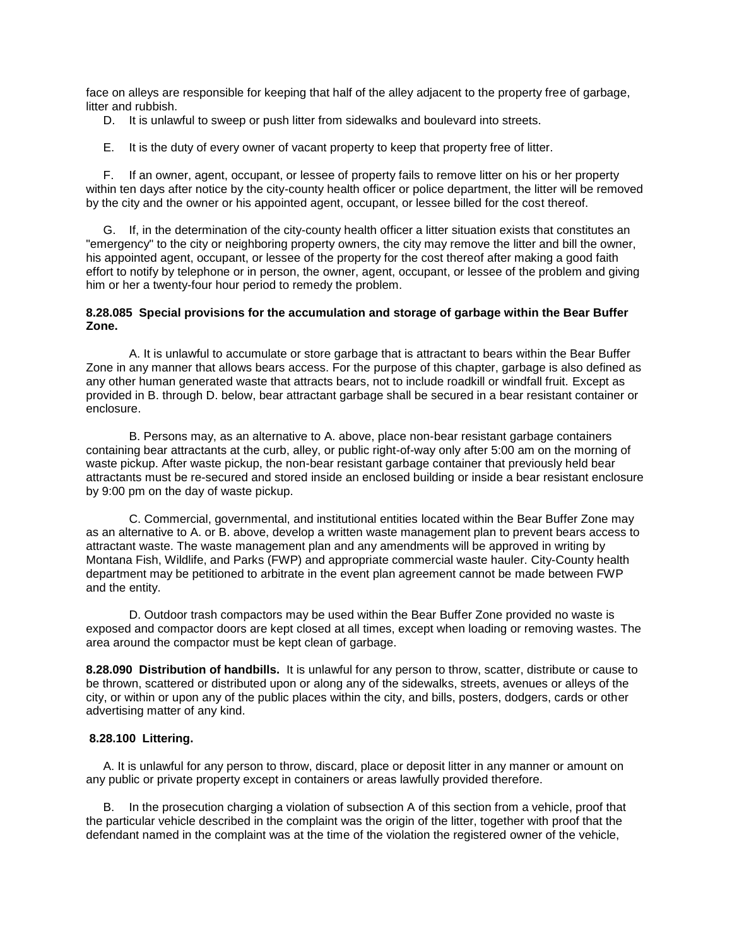face on alleys are responsible for keeping that half of the alley adjacent to the property free of garbage, litter and rubbish.

- D. It is unlawful to sweep or push litter from sidewalks and boulevard into streets.
- E. It is the duty of every owner of vacant property to keep that property free of litter.

F. If an owner, agent, occupant, or lessee of property fails to remove litter on his or her property within ten days after notice by the city-county health officer or police department, the litter will be removed by the city and the owner or his appointed agent, occupant, or lessee billed for the cost thereof.

G. If, in the determination of the city-county health officer a litter situation exists that constitutes an "emergency" to the city or neighboring property owners, the city may remove the litter and bill the owner, his appointed agent, occupant, or lessee of the property for the cost thereof after making a good faith effort to notify by telephone or in person, the owner, agent, occupant, or lessee of the problem and giving him or her a twenty-four hour period to remedy the problem.

### **8.28.085 Special provisions for the accumulation and storage of garbage within the Bear Buffer Zone.**

A. It is unlawful to accumulate or store garbage that is attractant to bears within the Bear Buffer Zone in any manner that allows bears access. For the purpose of this chapter, garbage is also defined as any other human generated waste that attracts bears, not to include roadkill or windfall fruit. Except as provided in B. through D. below, bear attractant garbage shall be secured in a bear resistant container or enclosure.

B. Persons may, as an alternative to A. above, place non-bear resistant garbage containers containing bear attractants at the curb, alley, or public right-of-way only after 5:00 am on the morning of waste pickup. After waste pickup, the non-bear resistant garbage container that previously held bear attractants must be re-secured and stored inside an enclosed building or inside a bear resistant enclosure by 9:00 pm on the day of waste pickup.

C. Commercial, governmental, and institutional entities located within the Bear Buffer Zone may as an alternative to A. or B. above, develop a written waste management plan to prevent bears access to attractant waste. The waste management plan and any amendments will be approved in writing by Montana Fish, Wildlife, and Parks (FWP) and appropriate commercial waste hauler. City-County health department may be petitioned to arbitrate in the event plan agreement cannot be made between FWP and the entity.

D. Outdoor trash compactors may be used within the Bear Buffer Zone provided no waste is exposed and compactor doors are kept closed at all times, except when loading or removing wastes. The area around the compactor must be kept clean of garbage.

**8.28.090 Distribution of handbills.** It is unlawful for any person to throw, scatter, distribute or cause to be thrown, scattered or distributed upon or along any of the sidewalks, streets, avenues or alleys of the city, or within or upon any of the public places within the city, and bills, posters, dodgers, cards or other advertising matter of any kind.

#### **8.28.100 Littering.**

A. It is unlawful for any person to throw, discard, place or deposit litter in any manner or amount on any public or private property except in containers or areas lawfully provided therefore.

B. In the prosecution charging a violation of subsection A of this section from a vehicle, proof that the particular vehicle described in the complaint was the origin of the litter, together with proof that the defendant named in the complaint was at the time of the violation the registered owner of the vehicle,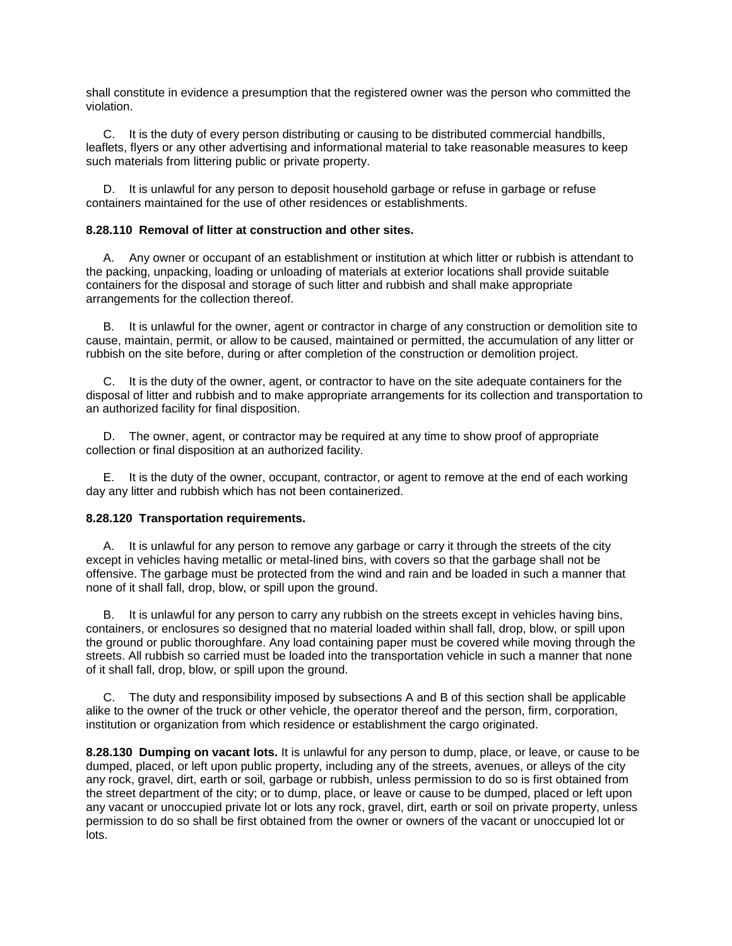shall constitute in evidence a presumption that the registered owner was the person who committed the violation.

C. It is the duty of every person distributing or causing to be distributed commercial handbills, leaflets, flyers or any other advertising and informational material to take reasonable measures to keep such materials from littering public or private property.

D. It is unlawful for any person to deposit household garbage or refuse in garbage or refuse containers maintained for the use of other residences or establishments.

# **8.28.110 Removal of litter at construction and other sites.**

A. Any owner or occupant of an establishment or institution at which litter or rubbish is attendant to the packing, unpacking, loading or unloading of materials at exterior locations shall provide suitable containers for the disposal and storage of such litter and rubbish and shall make appropriate arrangements for the collection thereof.

B. It is unlawful for the owner, agent or contractor in charge of any construction or demolition site to cause, maintain, permit, or allow to be caused, maintained or permitted, the accumulation of any litter or rubbish on the site before, during or after completion of the construction or demolition project.

C. It is the duty of the owner, agent, or contractor to have on the site adequate containers for the disposal of litter and rubbish and to make appropriate arrangements for its collection and transportation to an authorized facility for final disposition.

D. The owner, agent, or contractor may be required at any time to show proof of appropriate collection or final disposition at an authorized facility.

E. It is the duty of the owner, occupant, contractor, or agent to remove at the end of each working day any litter and rubbish which has not been containerized.

## **8.28.120 Transportation requirements.**

A. It is unlawful for any person to remove any garbage or carry it through the streets of the city except in vehicles having metallic or metal-lined bins, with covers so that the garbage shall not be offensive. The garbage must be protected from the wind and rain and be loaded in such a manner that none of it shall fall, drop, blow, or spill upon the ground.

B. It is unlawful for any person to carry any rubbish on the streets except in vehicles having bins, containers, or enclosures so designed that no material loaded within shall fall, drop, blow, or spill upon the ground or public thoroughfare. Any load containing paper must be covered while moving through the streets. All rubbish so carried must be loaded into the transportation vehicle in such a manner that none of it shall fall, drop, blow, or spill upon the ground.

C. The duty and responsibility imposed by subsections A and B of this section shall be applicable alike to the owner of the truck or other vehicle, the operator thereof and the person, firm, corporation, institution or organization from which residence or establishment the cargo originated.

**8.28.130 Dumping on vacant lots.** It is unlawful for any person to dump, place, or leave, or cause to be dumped, placed, or left upon public property, including any of the streets, avenues, or alleys of the city any rock, gravel, dirt, earth or soil, garbage or rubbish, unless permission to do so is first obtained from the street department of the city; or to dump, place, or leave or cause to be dumped, placed or left upon any vacant or unoccupied private lot or lots any rock, gravel, dirt, earth or soil on private property, unless permission to do so shall be first obtained from the owner or owners of the vacant or unoccupied lot or lots.